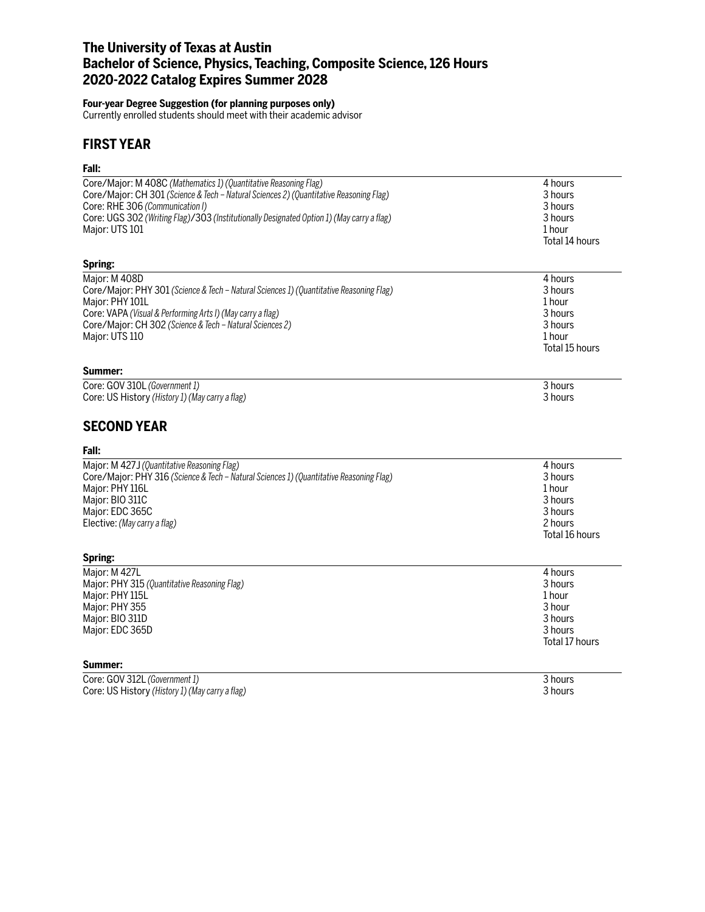# **The University of Texas at Austin Bachelor of Science, Physics, Teaching, Composite Science, 126 Hours 2020-2022 Catalog Expires Summer 2028**

#### **Four-year Degree Suggestion (for planning purposes only)**

Currently enrolled students should meet with their academic advisor

# **FIRST YEAR**

# **Fall:**

| ган.                                                                                      |                |
|-------------------------------------------------------------------------------------------|----------------|
| Core/Major: M 408C (Mathematics 1) (Quantitative Reasoning Flag)                          | 4 hours        |
| Core/Major: CH 301 (Science & Tech – Natural Sciences 2) (Quantitative Reasoning Flag)    | 3 hours        |
| Core: RHE 306 (Communication I)                                                           | 3 hours        |
| Core: UGS 302 (Writing Flag)/303 (Institutionally Designated Option 1) (May carry a flag) | 3 hours        |
| Major: UTS 101                                                                            | 1 hour         |
|                                                                                           | Total 14 hours |
| Spring:                                                                                   |                |
| Major: M 408D                                                                             | 4 hours        |
| Core/Major: PHY 301 (Science & Tech - Natural Sciences 1) (Quantitative Reasoning Flag)   | 3 hours        |
| Major: PHY 101L                                                                           | 1 hour         |
| Core: VAPA (Visual & Performing Arts I) (May carry a flag)                                | 3 hours        |
| Core/Major: CH 302 (Science & Tech - Natural Sciences 2)                                  | 3 hours        |
| Major: UTS 110                                                                            | 1 hour         |
|                                                                                           | Total 15 hours |
| Summer:                                                                                   |                |
| Core: GOV 310L (Government 1)                                                             | 3 hours        |
| Core: US History (History 1) (May carry a flag)                                           | 3 hours        |
| <b>SECOND YEAR</b>                                                                        |                |
| Fall:                                                                                     |                |
| Major: M 427J (Quantitative Reasoning Flag)                                               | 4 hours        |
| Core/Major: PHY 316 (Science & Tech - Natural Sciences 1) (Quantitative Reasoning Flag)   | 3 hours        |
| Major: PHY 116L                                                                           | 1 hour         |
| Major: BIO 311C                                                                           | 3 hours        |
| Major: EDC 365C                                                                           | 3 hours        |
| Elective: (May carry a flag)                                                              | 2 hours        |
|                                                                                           | Total 16 hours |
| Spring:                                                                                   |                |
| Major: M 427L                                                                             | 4 hours        |
| Major: PHY 315 (Quantitative Reasoning Flag)                                              | 3 hours        |
| Major: PHY 115L                                                                           | 1 hour         |
| Major: PHY 355                                                                            | 3 hour         |
| Major: BIO 311D                                                                           | 3 hours        |
| Major: EDC 365D                                                                           | 3 hours        |
|                                                                                           | Total 17 hours |
| Summer:                                                                                   |                |
| Core: GOV 312L (Government 1)                                                             | 3 hours        |
| Core: US History (History 1) (May carry a flag)                                           | 3 hours        |